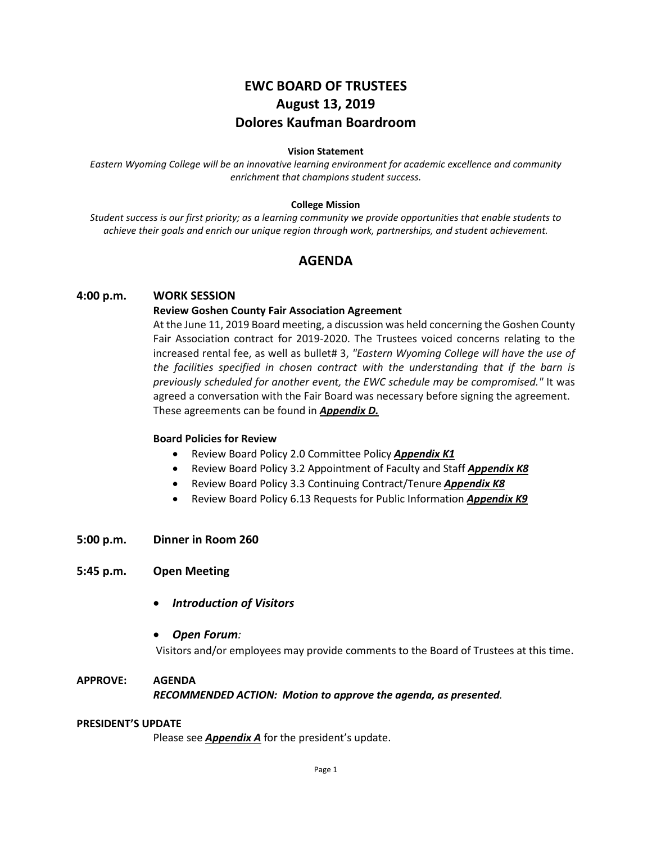# **EWC BOARD OF TRUSTEES August 13, 2019 Dolores Kaufman Boardroom**

#### **Vision Statement**

*Eastern Wyoming College will be an innovative learning environment for academic excellence and community enrichment that champions student success.*

#### **College Mission**

*Student success is our first priority; as a learning community we provide opportunities that enable students to achieve their goals and enrich our unique region through work, partnerships, and student achievement.*

# **AGENDA**

# **4:00 p.m. WORK SESSION**

### **Review Goshen County Fair Association Agreement**

At the June 11, 2019 Board meeting, a discussion was held concerning the Goshen County Fair Association contract for 2019-2020. The Trustees voiced concerns relating to the increased rental fee, as well as bullet# 3, *"Eastern Wyoming College will have the use of the facilities specified in chosen contract with the understanding that if the barn is previously scheduled for another event, the EWC schedule may be compromised."* It was agreed a conversation with the Fair Board was necessary before signing the agreement. These agreements can be found in *Appendix D.*

# **Board Policies for Review**

- Review Board Policy 2.0 Committee Policy *Appendix K1*
- Review Board Policy 3.2 Appointment of Faculty and Staff *Appendix K8*
- Review Board Policy 3.3 Continuing Contract/Tenure *Appendix K8*
- Review Board Policy 6.13 Requests for Public Information *Appendix K9*

# **5:00 p.m. Dinner in Room 260**

# **5:45 p.m. Open Meeting**

• *Introduction of Visitors*

# • *Open Forum:*

Visitors and/or employees may provide comments to the Board of Trustees at this time.

# **APPROVE: AGENDA** *RECOMMENDED ACTION: Motion to approve the agenda, as presented.*

#### **PRESIDENT'S UPDATE**

Please see **Appendix A** for the president's update.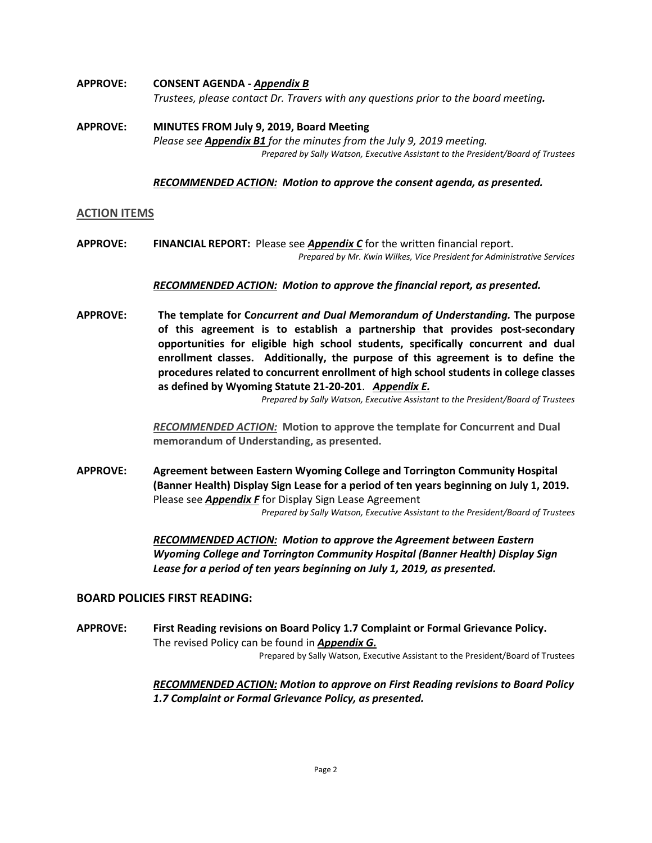- **APPROVE: CONSENT AGENDA -** *Appendix B Trustees, please contact Dr. Travers with any questions prior to the board meeting.*
- **APPROVE: MINUTES FROM July 9, 2019, Board Meeting** *Please see Appendix B1 for the minutes from the July 9, 2019 meeting. Prepared by Sally Watson, Executive Assistant to the President/Board of Trustees*

#### *RECOMMENDED ACTION: Motion to approve the consent agenda, as presented.*

#### **ACTION ITEMS**

**APPROVE: FINANCIAL REPORT:** Please see *Appendix C* for the written financial report. *Prepared by Mr. Kwin Wilkes, Vice President for Administrative Services*

#### *RECOMMENDED ACTION: Motion to approve the financial report, as presented.*

**APPROVE: The template for C***oncurrent and Dual Memorandum of Understanding.* **The purpose of this agreement is to establish a partnership that provides post-secondary opportunities for eligible high school students, specifically concurrent and dual enrollment classes. Additionally, the purpose of this agreement is to define the procedures related to concurrent enrollment of high school students in college classes as defined by Wyoming Statute 21-20-201**. *Appendix E.*

*Prepared by Sally Watson, Executive Assistant to the President/Board of Trustees*

*RECOMMENDED ACTION:* **Motion to approve the template for Concurrent and Dual memorandum of Understanding, as presented.**

**APPROVE: Agreement between Eastern Wyoming College and Torrington Community Hospital (Banner Health) Display Sign Lease for a period of ten years beginning on July 1, 2019.** Please see *Appendix F* for Display Sign Lease Agreement *Prepared by Sally Watson, Executive Assistant to the President/Board of Trustees*

> *RECOMMENDED ACTION: Motion to approve the Agreement between Eastern Wyoming College and Torrington Community Hospital (Banner Health) Display Sign Lease for a period of ten years beginning on July 1, 2019, as presented.*

# **BOARD POLICIES FIRST READING:**

**APPROVE: First Reading revisions on Board Policy 1.7 Complaint or Formal Grievance Policy.** The revised Policy can be found in *Appendix G.* Prepared by Sally Watson, Executive Assistant to the President/Board of Trustees

> *RECOMMENDED ACTION: Motion to approve on First Reading revisions to Board Policy 1.7 Complaint or Formal Grievance Policy, as presented.*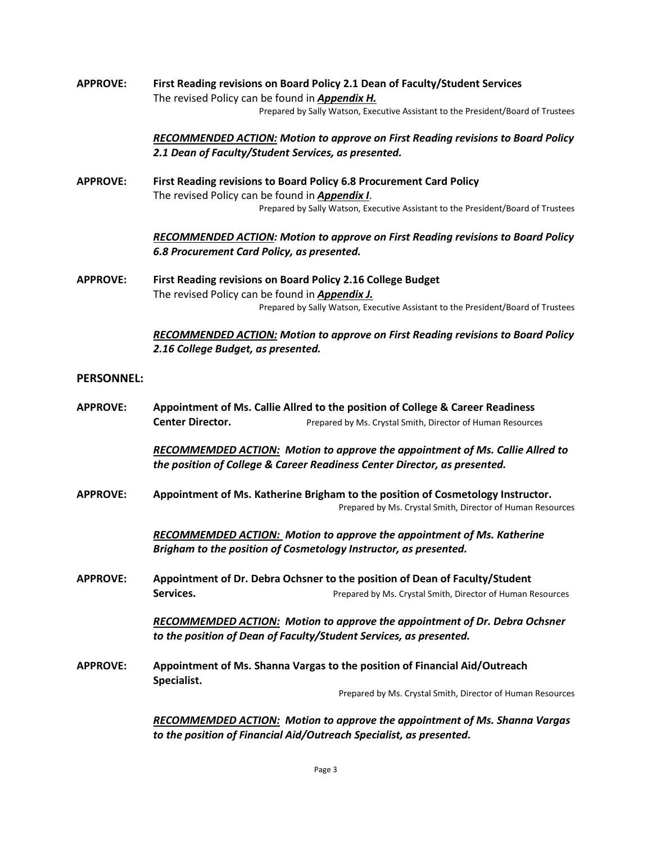**APPROVE: First Reading revisions on Board Policy 2.1 Dean of Faculty/Student Services** The revised Policy can be found in *Appendix H.* Prepared by Sally Watson, Executive Assistant to the President/Board of Trustees

> *RECOMMENDED ACTION: Motion to approve on First Reading revisions to Board Policy 2.1 Dean of Faculty/Student Services, as presented.*

**APPROVE: First Reading revisions to Board Policy 6.8 Procurement Card Policy** The revised Policy can be found in *Appendix I*. Prepared by Sally Watson, Executive Assistant to the President/Board of Trustees

> *RECOMMENDED ACTION: Motion to approve on First Reading revisions to Board Policy 6.8 Procurement Card Policy, as presented.*

**APPROVE: First Reading revisions on Board Policy 2.16 College Budget** The revised Policy can be found in *Appendix J.* Prepared by Sally Watson, Executive Assistant to the President/Board of Trustees

> *RECOMMENDED ACTION: Motion to approve on First Reading revisions to Board Policy 2.16 College Budget, as presented.*

# **PERSONNEL:**

**APPROVE: Appointment of Ms. Callie Allred to the position of College & Career Readiness Center Director.** Prepared by Ms. Crystal Smith, Director of Human Resources

> *RECOMMEMDED ACTION: Motion to approve the appointment of Ms. Callie Allred to the position of College & Career Readiness Center Director, as presented.*

**APPROVE: Appointment of Ms. Katherine Brigham to the position of Cosmetology Instructor.** Prepared by Ms. Crystal Smith, Director of Human Resources

> *RECOMMEMDED ACTION: Motion to approve the appointment of Ms. Katherine Brigham to the position of Cosmetology Instructor, as presented.*

**APPROVE: Appointment of Dr. Debra Ochsner to the position of Dean of Faculty/Student Services. Prepared by Ms. Crystal Smith, Director of Human Resources** 

> *RECOMMEMDED ACTION: Motion to approve the appointment of Dr. Debra Ochsner to the position of Dean of Faculty/Student Services, as presented.*

**APPROVE: Appointment of Ms. Shanna Vargas to the position of Financial Aid/Outreach Specialist.**

Prepared by Ms. Crystal Smith, Director of Human Resources

*RECOMMEMDED ACTION: Motion to approve the appointment of Ms. Shanna Vargas to the position of Financial Aid/Outreach Specialist, as presented.*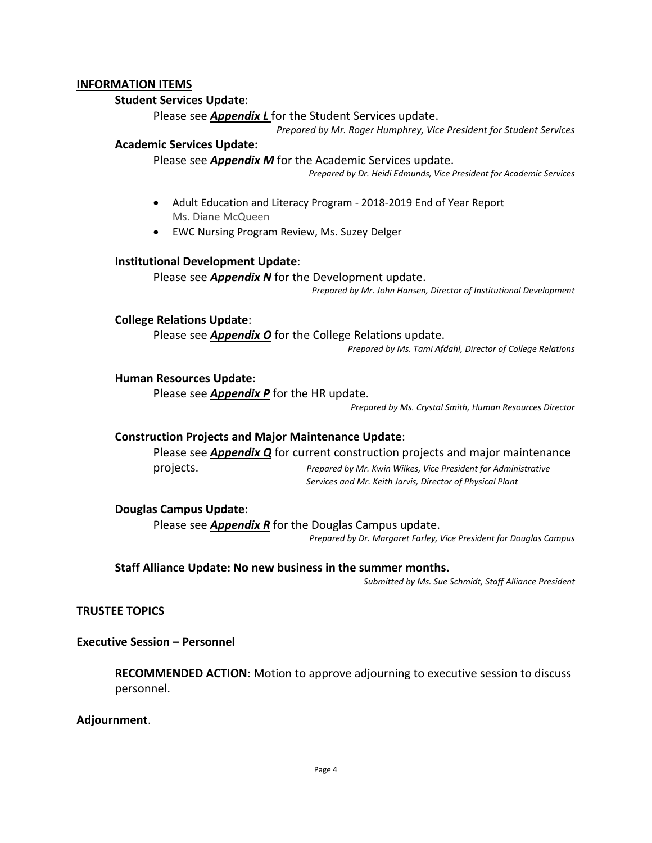# **INFORMATION ITEMS**

# **Student Services Update**:

Please see *Appendix L* for the Student Services update.

*Prepared by Mr. Roger Humphrey, Vice President for Student Services*

# **Academic Services Update:**

Please see *Appendix M* for the Academic Services update.

*Prepared by Dr. Heidi Edmunds, Vice President for Academic Services*

- Adult Education and Literacy Program 2018-2019 End of Year Report Ms. Diane McQueen
- EWC Nursing Program Review, Ms. Suzey Delger

# **Institutional Development Update**:

### Please see *Appendix N* for the Development update.

*Prepared by Mr. John Hansen, Director of Institutional Development*

# **College Relations Update**:

Please see *Appendix O* for the College Relations update.

*Prepared by Ms. Tami Afdahl, Director of College Relations*

### **Human Resources Update**:

Please see *Appendix P* for the HR update.

*Prepared by Ms. Crystal Smith, Human Resources Director*

# **Construction Projects and Major Maintenance Update**:

Please see *Appendix Q* for current construction projects and major maintenance

projects. *Prepared by Mr. Kwin Wilkes, Vice President for Administrative Services and Mr. Keith Jarvis, Director of Physical Plant*

# **Douglas Campus Update**:

Please see *Appendix R* for the Douglas Campus update.

*Prepared by Dr. Margaret Farley, Vice President for Douglas Campus*

# **Staff Alliance Update: No new business in the summer months.**

*Submitted by Ms. Sue Schmidt, Staff Alliance President*

**TRUSTEE TOPICS**

**Executive Session – Personnel**

**RECOMMENDED ACTION**: Motion to approve adjourning to executive session to discuss personnel.

# **Adjournment**.